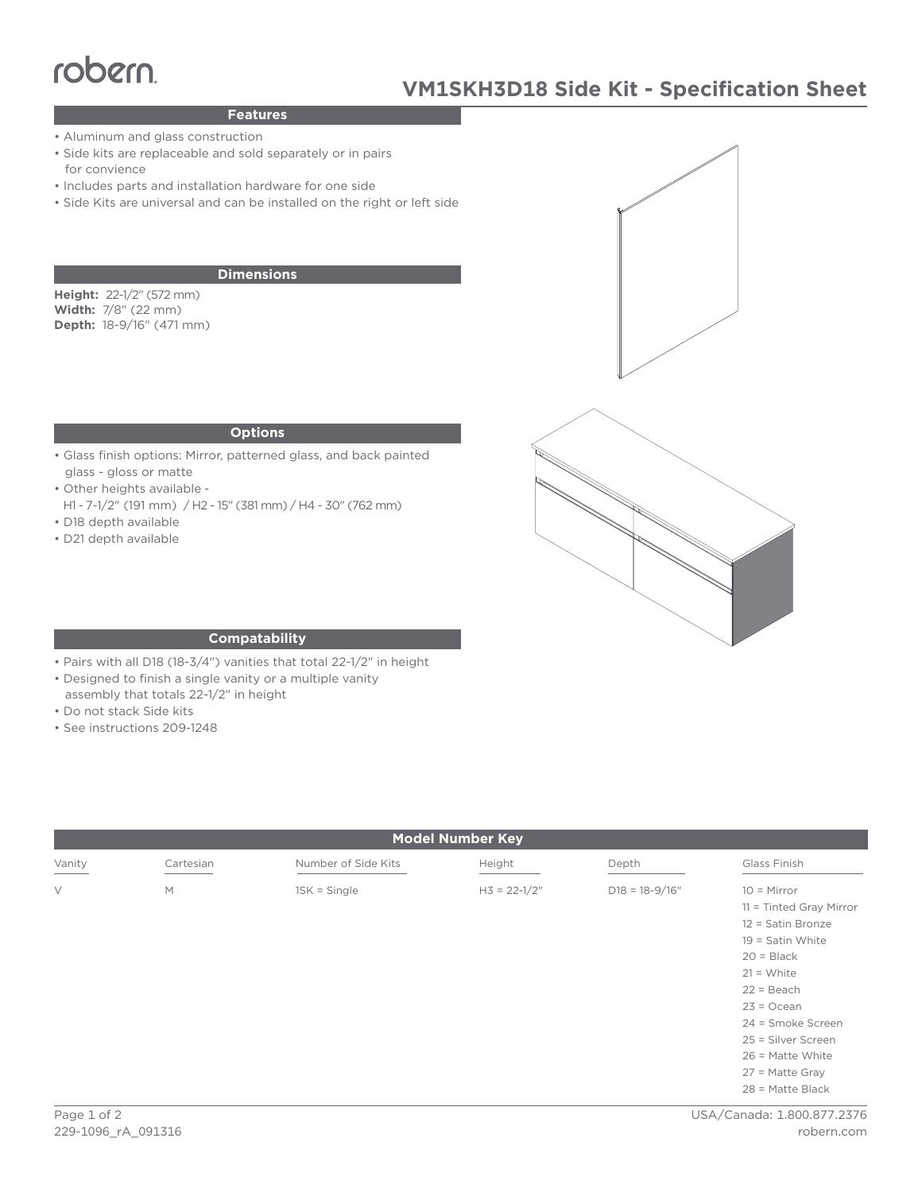# robern

## **Features**

- Aluminum and glass construction
- Side kits are replaceable and sold separately or in pairs for convience
- Includes parts and installation hardware for one side
- Side Kits are universal and can be installed on the right or left side

## **Dimensions**

**Height:** 22-1/2" (572 mm) **Width:** 7/8" (22 mm) **Depth:** 18-9/16" (471 mm)

#### **Options**

- Glass finish options: Mirror, patterned glass, and back painted glass - gloss or matte
- Other heights available -
- H1 7-1/2" (191 mm) / H2 15" (381 mm) / H4 30" (762 mm) • D18 depth available
- 
- D21 depth available





### **Compatability**

- Pairs with all D18 (18-3/4") vanities that total 22-1/2" in height
- Designed to finish a single vanity or a multiple vanity
- assembly that totals 22-1/2" in height
- Do not stack Side kits
- See instructions 209-1248

| <b>Model Number Key</b> |           |                     |                |                    |                                                                                                                                       |
|-------------------------|-----------|---------------------|----------------|--------------------|---------------------------------------------------------------------------------------------------------------------------------------|
| Vanity                  | Cartesian | Number of Side Kits | Height         | Depth              | Glass Finish                                                                                                                          |
| $\vee$                  | M         | $1SK = Single$      | $H3 = 22-1/2"$ | $D18 = 18 - 9/16"$ | $10 =$ Mirror<br>$11 =$ Tinted Gray Mirror<br>12 = Satin Bronze<br>$19 =$ Satin White<br>$20 = Black$<br>$21 = White$<br>$22 = Beach$ |
|                         |           |                     |                |                    | $23 = Ocean$<br>24 = Smoke Screen<br>25 = Silver Screen<br>$26$ = Matte White<br>$27$ = Matte Gray<br>$28$ = Matte Black              |